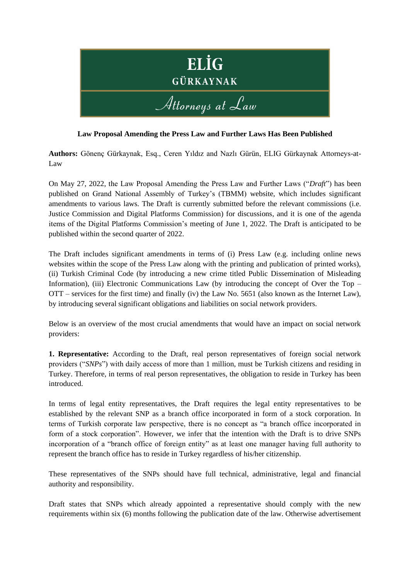

## **Law Proposal Amending the Press Law and Further Laws Has Been Published**

**Authors:** Gönenç Gürkaynak, Esq., Ceren Yıldız and Nazlı Gürün, ELIG Gürkaynak Attorneys-at-Law

On May 27, 2022, the Law Proposal Amending the Press Law and Further Laws ("*Draft*") has been published on Grand National Assembly of Turkey's (TBMM) website, which includes significant amendments to various laws. The Draft is currently submitted before the relevant commissions (i.e. Justice Commission and Digital Platforms Commission) for discussions, and it is one of the agenda items of the Digital Platforms Commission's meeting of June 1, 2022. The Draft is anticipated to be published within the second quarter of 2022.

The Draft includes significant amendments in terms of (i) Press Law (e.g. including online news websites within the scope of the Press Law along with the printing and publication of printed works), (ii) Turkish Criminal Code (by introducing a new crime titled Public Dissemination of Misleading Information), (iii) Electronic Communications Law (by introducing the concept of Over the Top – OTT – services for the first time) and finally (iv) the Law No. 5651 (also known as the Internet Law), by introducing several significant obligations and liabilities on social network providers.

Below is an overview of the most crucial amendments that would have an impact on social network providers:

**1. Representative:** According to the Draft, real person representatives of foreign social network providers ("*SNPs*") with daily access of more than 1 million, must be Turkish citizens and residing in Turkey. Therefore, in terms of real person representatives, the obligation to reside in Turkey has been introduced.

In terms of legal entity representatives, the Draft requires the legal entity representatives to be established by the relevant SNP as a branch office incorporated in form of a stock corporation. In terms of Turkish corporate law perspective, there is no concept as "a branch office incorporated in form of a stock corporation". However, we infer that the intention with the Draft is to drive SNPs incorporation of a "branch office of foreign entity" as at least one manager having full authority to represent the branch office has to reside in Turkey regardless of his/her citizenship.

These representatives of the SNPs should have full technical, administrative, legal and financial authority and responsibility.

Draft states that SNPs which already appointed a representative should comply with the new requirements within six (6) months following the publication date of the law. Otherwise advertisement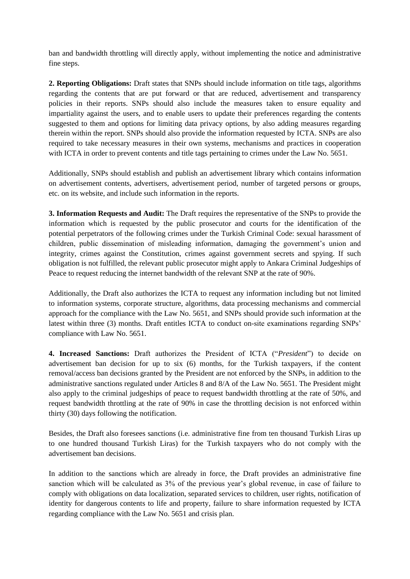ban and bandwidth throttling will directly apply, without implementing the notice and administrative fine steps.

**2. Reporting Obligations:** Draft states that SNPs should include information on title tags, algorithms regarding the contents that are put forward or that are reduced, advertisement and transparency policies in their reports. SNPs should also include the measures taken to ensure equality and impartiality against the users, and to enable users to update their preferences regarding the contents suggested to them and options for limiting data privacy options, by also adding measures regarding therein within the report. SNPs should also provide the information requested by ICTA. SNPs are also required to take necessary measures in their own systems, mechanisms and practices in cooperation with ICTA in order to prevent contents and title tags pertaining to crimes under the Law No. 5651.

Additionally, SNPs should establish and publish an advertisement library which contains information on advertisement contents, advertisers, advertisement period, number of targeted persons or groups, etc. on its website, and include such information in the reports.

**3. Information Requests and Audit:** The Draft requires the representative of the SNPs to provide the information which is requested by the public prosecutor and courts for the identification of the potential perpetrators of the following crimes under the Turkish Criminal Code: sexual harassment of children, public dissemination of misleading information, damaging the government's union and integrity, crimes against the Constitution, crimes against government secrets and spying. If such obligation is not fulfilled, the relevant public prosecutor might apply to Ankara Criminal Judgeships of Peace to request reducing the internet bandwidth of the relevant SNP at the rate of 90%.

Additionally, the Draft also authorizes the ICTA to request any information including but not limited to information systems, corporate structure, algorithms, data processing mechanisms and commercial approach for the compliance with the Law No. 5651, and SNPs should provide such information at the latest within three (3) months. Draft entitles ICTA to conduct on-site examinations regarding SNPs' compliance with Law No. 5651.

**4. Increased Sanctions:** Draft authorizes the President of ICTA ("*President*") to decide on advertisement ban decision for up to six (6) months, for the Turkish taxpayers, if the content removal/access ban decisions granted by the President are not enforced by the SNPs, in addition to the administrative sanctions regulated under Articles 8 and 8/A of the Law No. 5651. The President might also apply to the criminal judgeships of peace to request bandwidth throttling at the rate of 50%, and request bandwidth throttling at the rate of 90% in case the throttling decision is not enforced within thirty (30) days following the notification.

Besides, the Draft also foresees sanctions (i.e. administrative fine from ten thousand Turkish Liras up to one hundred thousand Turkish Liras) for the Turkish taxpayers who do not comply with the advertisement ban decisions.

In addition to the sanctions which are already in force, the Draft provides an administrative fine sanction which will be calculated as 3% of the previous year's global revenue, in case of failure to comply with obligations on data localization, separated services to children, user rights, notification of identity for dangerous contents to life and property, failure to share information requested by ICTA regarding compliance with the Law No. 5651 and crisis plan.